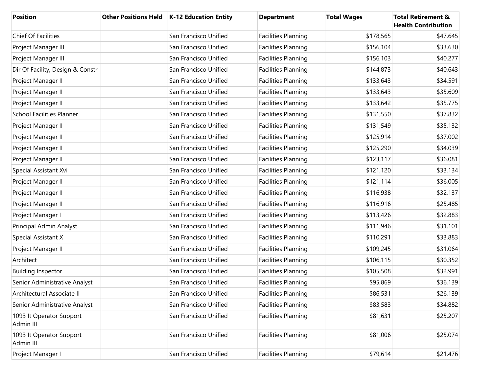| <b>Position</b>                       | <b>Other Positions Held</b> | K-12 Education Entity | <b>Department</b>          | <b>Total Wages</b> | <b>Total Retirement &amp;</b><br><b>Health Contribution</b> |
|---------------------------------------|-----------------------------|-----------------------|----------------------------|--------------------|-------------------------------------------------------------|
| Chief Of Facilities                   |                             | San Francisco Unified | <b>Facilities Planning</b> | \$178,565          | \$47,645                                                    |
| Project Manager III                   |                             | San Francisco Unified | <b>Facilities Planning</b> | \$156,104          | \$33,630                                                    |
| Project Manager III                   |                             | San Francisco Unified | <b>Facilities Planning</b> | \$156,103          | \$40,277                                                    |
| Dir Of Facility, Design & Constr      |                             | San Francisco Unified | <b>Facilities Planning</b> | \$144,873          | \$40,643                                                    |
| Project Manager II                    |                             | San Francisco Unified | <b>Facilities Planning</b> | \$133,643          | \$34,591                                                    |
| Project Manager II                    |                             | San Francisco Unified | <b>Facilities Planning</b> | \$133,643          | \$35,609                                                    |
| Project Manager II                    |                             | San Francisco Unified | <b>Facilities Planning</b> | \$133,642          | \$35,775                                                    |
| <b>School Facilities Planner</b>      |                             | San Francisco Unified | <b>Facilities Planning</b> | \$131,550          | \$37,832                                                    |
| Project Manager II                    |                             | San Francisco Unified | <b>Facilities Planning</b> | \$131,549          | \$35,132                                                    |
| Project Manager II                    |                             | San Francisco Unified | <b>Facilities Planning</b> | \$125,914          | \$37,002                                                    |
| Project Manager II                    |                             | San Francisco Unified | <b>Facilities Planning</b> | \$125,290          | \$34,039                                                    |
| Project Manager II                    |                             | San Francisco Unified | <b>Facilities Planning</b> | \$123,117          | \$36,081                                                    |
| Special Assistant Xvi                 |                             | San Francisco Unified | <b>Facilities Planning</b> | \$121,120          | \$33,134                                                    |
| Project Manager II                    |                             | San Francisco Unified | <b>Facilities Planning</b> | \$121,114          | \$36,005                                                    |
| Project Manager II                    |                             | San Francisco Unified | <b>Facilities Planning</b> | \$116,938          | \$32,137                                                    |
| Project Manager II                    |                             | San Francisco Unified | <b>Facilities Planning</b> | \$116,916          | \$25,485                                                    |
| Project Manager I                     |                             | San Francisco Unified | <b>Facilities Planning</b> | \$113,426          | \$32,883                                                    |
| Principal Admin Analyst               |                             | San Francisco Unified | <b>Facilities Planning</b> | \$111,946          | \$31,101                                                    |
| Special Assistant X                   |                             | San Francisco Unified | <b>Facilities Planning</b> | \$110,291          | \$33,883                                                    |
| Project Manager II                    |                             | San Francisco Unified | <b>Facilities Planning</b> | \$109,245          | \$31,064                                                    |
| Architect                             |                             | San Francisco Unified | <b>Facilities Planning</b> | \$106,115          | \$30,352                                                    |
| <b>Building Inspector</b>             |                             | San Francisco Unified | <b>Facilities Planning</b> | \$105,508          | \$32,991                                                    |
| Senior Administrative Analyst         |                             | San Francisco Unified | <b>Facilities Planning</b> | \$95,869           | \$36,139                                                    |
| Architectural Associate II            |                             | San Francisco Unified | <b>Facilities Planning</b> | \$86,531           | \$26,139                                                    |
| Senior Administrative Analyst         |                             | San Francisco Unified | <b>Facilities Planning</b> | \$83,583           | \$34,882                                                    |
| 1093 It Operator Support<br>Admin III |                             | San Francisco Unified | <b>Facilities Planning</b> | \$81,631           | \$25,207                                                    |
| 1093 It Operator Support<br>Admin III |                             | San Francisco Unified | Facilities Planning        | \$81,006           | \$25,074                                                    |
| Project Manager I                     |                             | San Francisco Unified | <b>Facilities Planning</b> | \$79,614           | \$21,476                                                    |